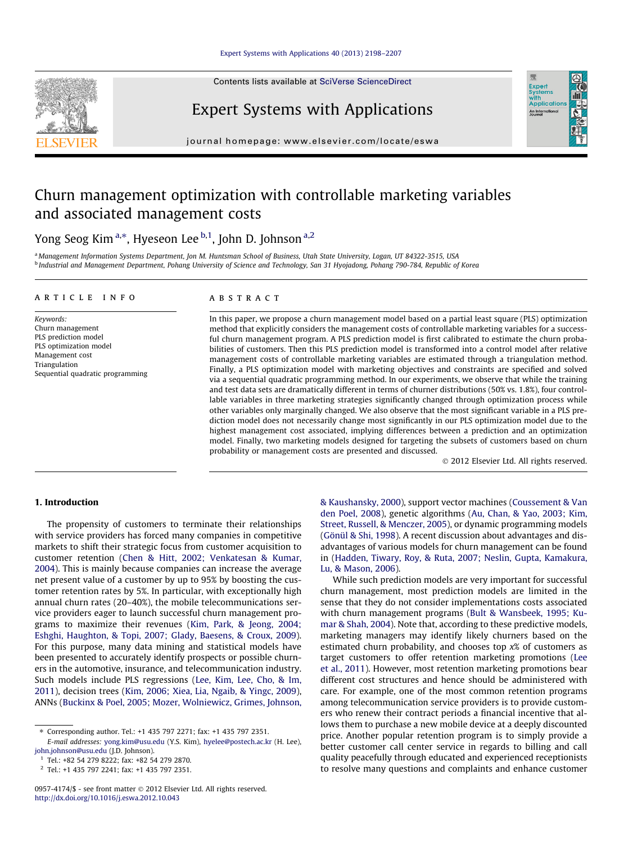Contents lists available at [SciVerse ScienceDirect](http://www.sciencedirect.com/science/journal/09574174)



Expert Systems with Applications

journal homepage: [www.elsevier.com/locate/eswa](http://www.elsevier.com/locate/eswa)

# Churn management optimization with controllable marketing variables and associated management costs

Yong Seog Kim <sup>a,\*</sup>, Hyeseon Lee <sup>b,1</sup>, John D. Johnson <sup>a,2</sup>

<sup>a</sup> Management Information Systems Department, Jon M. Huntsman School of Business, Utah State University, Logan, UT 84322-3515, USA <sup>b</sup> Industrial and Management Department, Pohang University of Science and Technology, San 31 Hyojadong, Pohang 790-784, Republic of Korea

## article info

Keywords: Churn management PLS prediction model PLS optimization model Management cost Triangulation Sequential quadratic programming

# ABSTRACT

In this paper, we propose a churn management model based on a partial least square (PLS) optimization method that explicitly considers the management costs of controllable marketing variables for a successful churn management program. A PLS prediction model is first calibrated to estimate the churn probabilities of customers. Then this PLS prediction model is transformed into a control model after relative management costs of controllable marketing variables are estimated through a triangulation method. Finally, a PLS optimization model with marketing objectives and constraints are specified and solved via a sequential quadratic programming method. In our experiments, we observe that while the training and test data sets are dramatically different in terms of churner distributions (50% vs. 1.8%), four controllable variables in three marketing strategies significantly changed through optimization process while other variables only marginally changed. We also observe that the most significant variable in a PLS prediction model does not necessarily change most significantly in our PLS optimization model due to the highest management cost associated, implying differences between a prediction and an optimization model. Finally, two marketing models designed for targeting the subsets of customers based on churn probability or management costs are presented and discussed.

- 2012 Elsevier Ltd. All rights reserved.

Exper<br>Syster wiiii<br>Applicatio An Inter

# 1. Introduction

The propensity of customers to terminate their relationships with service providers has forced many companies in competitive markets to shift their strategic focus from customer acquisition to customer retention [\(Chen & Hitt, 2002; Venkatesan & Kumar,](#page--1-0) [2004\)](#page--1-0). This is mainly because companies can increase the average net present value of a customer by up to 95% by boosting the customer retention rates by 5%. In particular, with exceptionally high annual churn rates (20–40%), the mobile telecommunications service providers eager to launch successful churn management programs to maximize their revenues [\(Kim, Park, & Jeong, 2004;](#page--1-0) [Eshghi, Haughton, & Topi, 2007; Glady, Baesens, & Croux, 2009\)](#page--1-0). For this purpose, many data mining and statistical models have been presented to accurately identify prospects or possible churners in the automotive, insurance, and telecommunication industry. Such models include PLS regressions [\(Lee, Kim, Lee, Cho, & Im,](#page--1-0) [2011\)](#page--1-0), decision trees ([Kim, 2006; Xiea, Lia, Ngaib, & Yingc, 2009\)](#page--1-0), ANNs [\(Buckinx & Poel, 2005; Mozer, Wolniewicz, Grimes, Johnson,](#page--1-0) [& Kaushansky, 2000](#page--1-0)), support vector machines [\(Coussement & Van](#page--1-0) [den Poel, 2008\)](#page--1-0), genetic algorithms ([Au, Chan, & Yao, 2003; Kim,](#page--1-0) [Street, Russell, & Menczer, 2005\)](#page--1-0), or dynamic programming models ([Gönül & Shi, 1998](#page--1-0)). A recent discussion about advantages and disadvantages of various models for churn management can be found in [\(Hadden, Tiwary, Roy, & Ruta, 2007; Neslin, Gupta, Kamakura,](#page--1-0) [Lu, & Mason, 2006](#page--1-0)).

While such prediction models are very important for successful churn management, most prediction models are limited in the sense that they do not consider implementations costs associated with churn management programs [\(Bult & Wansbeek, 1995; Ku](#page--1-0)[mar & Shah, 2004](#page--1-0)). Note that, according to these predictive models, marketing managers may identify likely churners based on the estimated churn probability, and chooses top x% of customers as target customers to offer retention marketing promotions [\(Lee](#page--1-0) [et al., 2011\)](#page--1-0). However, most retention marketing promotions bear different cost structures and hence should be administered with care. For example, one of the most common retention programs among telecommunication service providers is to provide customers who renew their contract periods a financial incentive that allows them to purchase a new mobile device at a deeply discounted price. Another popular retention program is to simply provide a better customer call center service in regards to billing and call quality peacefully through educated and experienced receptionists to resolve many questions and complaints and enhance customer

<sup>⇑</sup> Corresponding author. Tel.: +1 435 797 2271; fax: +1 435 797 2351. E-mail addresses: [yong.kim@usu.edu](mailto:yong.kim@usu.edu) (Y.S. Kim), [hyelee@postech.ac.kr](mailto:hyelee@postech.ac.kr) (H. Lee), [john.johnson@usu.edu](mailto:john.johnson@usu.edu) (J.D. Johnson).

<sup>1</sup> Tel.: +82 54 279 8222; fax: +82 54 279 2870.

<sup>2</sup> Tel.: +1 435 797 2241; fax: +1 435 797 2351.

<sup>0957-4174/\$ -</sup> see front matter © 2012 Elsevier Ltd. All rights reserved. <http://dx.doi.org/10.1016/j.eswa.2012.10.043>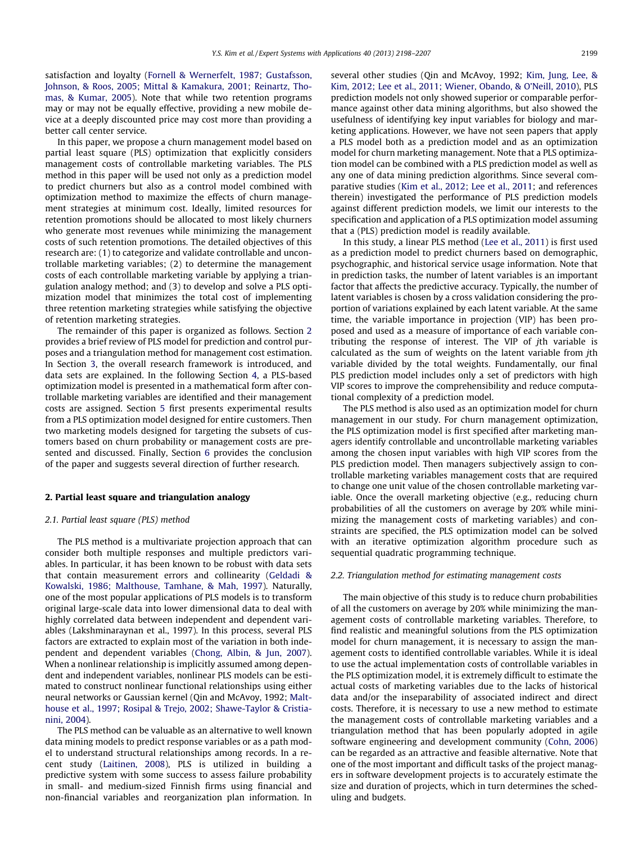satisfaction and loyalty [\(Fornell & Wernerfelt, 1987; Gustafsson,](#page--1-0) [Johnson, & Roos, 2005; Mittal & Kamakura, 2001; Reinartz, Tho](#page--1-0)[mas, & Kumar, 2005](#page--1-0)). Note that while two retention programs may or may not be equally effective, providing a new mobile device at a deeply discounted price may cost more than providing a better call center service.

In this paper, we propose a churn management model based on partial least square (PLS) optimization that explicitly considers management costs of controllable marketing variables. The PLS method in this paper will be used not only as a prediction model to predict churners but also as a control model combined with optimization method to maximize the effects of churn management strategies at minimum cost. Ideally, limited resources for retention promotions should be allocated to most likely churners who generate most revenues while minimizing the management costs of such retention promotions. The detailed objectives of this research are: (1) to categorize and validate controllable and uncontrollable marketing variables; (2) to determine the management costs of each controllable marketing variable by applying a triangulation analogy method; and (3) to develop and solve a PLS optimization model that minimizes the total cost of implementing three retention marketing strategies while satisfying the objective of retention marketing strategies.

The remainder of this paper is organized as follows. Section 2 provides a brief review of PLS model for prediction and control purposes and a triangulation method for management cost estimation. In Section [3,](#page--1-0) the overall research framework is introduced, and data sets are explained. In the following Section [4,](#page--1-0) a PLS-based optimization model is presented in a mathematical form after controllable marketing variables are identified and their management costs are assigned. Section [5](#page--1-0) first presents experimental results from a PLS optimization model designed for entire customers. Then two marketing models designed for targeting the subsets of customers based on churn probability or management costs are presented and discussed. Finally, Section [6](#page--1-0) provides the conclusion of the paper and suggests several direction of further research.

#### 2. Partial least square and triangulation analogy

## 2.1. Partial least square (PLS) method

The PLS method is a multivariate projection approach that can consider both multiple responses and multiple predictors variables. In particular, it has been known to be robust with data sets that contain measurement errors and collinearity [\(Geldadi &](#page--1-0) [Kowalski, 1986; Malthouse, Tamhane, & Mah, 1997](#page--1-0)). Naturally, one of the most popular applications of PLS models is to transform original large-scale data into lower dimensional data to deal with highly correlated data between independent and dependent variables (Lakshminaraynan et al., 1997). In this process, several PLS factors are extracted to explain most of the variation in both independent and dependent variables ([Chong, Albin, & Jun, 2007\)](#page--1-0). When a nonlinear relationship is implicitly assumed among dependent and independent variables, nonlinear PLS models can be estimated to construct nonlinear functional relationships using either neural networks or Gaussian kernel (Qin and McAvoy, 1992; [Malt](#page--1-0)[house et al., 1997; Rosipal & Trejo, 2002; Shawe-Taylor & Cristia](#page--1-0)[nini, 2004\)](#page--1-0).

The PLS method can be valuable as an alternative to well known data mining models to predict response variables or as a path model to understand structural relationships among records. In a recent study [\(Laitinen, 2008](#page--1-0)), PLS is utilized in building a predictive system with some success to assess failure probability in small- and medium-sized Finnish firms using financial and non-financial variables and reorganization plan information. In several other studies (Qin and McAvoy, 1992; [Kim, Jung, Lee, &](#page--1-0) [Kim, 2012; Lee et al., 2011; Wiener, Obando, & O'Neill, 2010](#page--1-0)), PLS prediction models not only showed superior or comparable performance against other data mining algorithms, but also showed the usefulness of identifying key input variables for biology and marketing applications. However, we have not seen papers that apply a PLS model both as a prediction model and as an optimization model for churn marketing management. Note that a PLS optimization model can be combined with a PLS prediction model as well as any one of data mining prediction algorithms. Since several comparative studies ([Kim et al., 2012; Lee et al., 2011](#page--1-0); and references therein) investigated the performance of PLS prediction models against different prediction models, we limit our interests to the specification and application of a PLS optimization model assuming that a (PLS) prediction model is readily available.

In this study, a linear PLS method [\(Lee et al., 2011](#page--1-0)) is first used as a prediction model to predict churners based on demographic, psychographic, and historical service usage information. Note that in prediction tasks, the number of latent variables is an important factor that affects the predictive accuracy. Typically, the number of latent variables is chosen by a cross validation considering the proportion of variations explained by each latent variable. At the same time, the variable importance in projection (VIP) has been proposed and used as a measure of importance of each variable contributing the response of interest. The VIP of jth variable is calculated as the sum of weights on the latent variable from jth variable divided by the total weights. Fundamentally, our final PLS prediction model includes only a set of predictors with high VIP scores to improve the comprehensibility and reduce computational complexity of a prediction model.

The PLS method is also used as an optimization model for churn management in our study. For churn management optimization, the PLS optimization model is first specified after marketing managers identify controllable and uncontrollable marketing variables among the chosen input variables with high VIP scores from the PLS prediction model. Then managers subjectively assign to controllable marketing variables management costs that are required to change one unit value of the chosen controllable marketing variable. Once the overall marketing objective (e.g., reducing churn probabilities of all the customers on average by 20% while minimizing the management costs of marketing variables) and constraints are specified, the PLS optimization model can be solved with an iterative optimization algorithm procedure such as sequential quadratic programming technique.

# 2.2. Triangulation method for estimating management costs

The main objective of this study is to reduce churn probabilities of all the customers on average by 20% while minimizing the management costs of controllable marketing variables. Therefore, to find realistic and meaningful solutions from the PLS optimization model for churn management, it is necessary to assign the management costs to identified controllable variables. While it is ideal to use the actual implementation costs of controllable variables in the PLS optimization model, it is extremely difficult to estimate the actual costs of marketing variables due to the lacks of historical data and/or the inseparability of associated indirect and direct costs. Therefore, it is necessary to use a new method to estimate the management costs of controllable marketing variables and a triangulation method that has been popularly adopted in agile software engineering and development community [\(Cohn, 2006\)](#page--1-0) can be regarded as an attractive and feasible alternative. Note that one of the most important and difficult tasks of the project managers in software development projects is to accurately estimate the size and duration of projects, which in turn determines the scheduling and budgets.